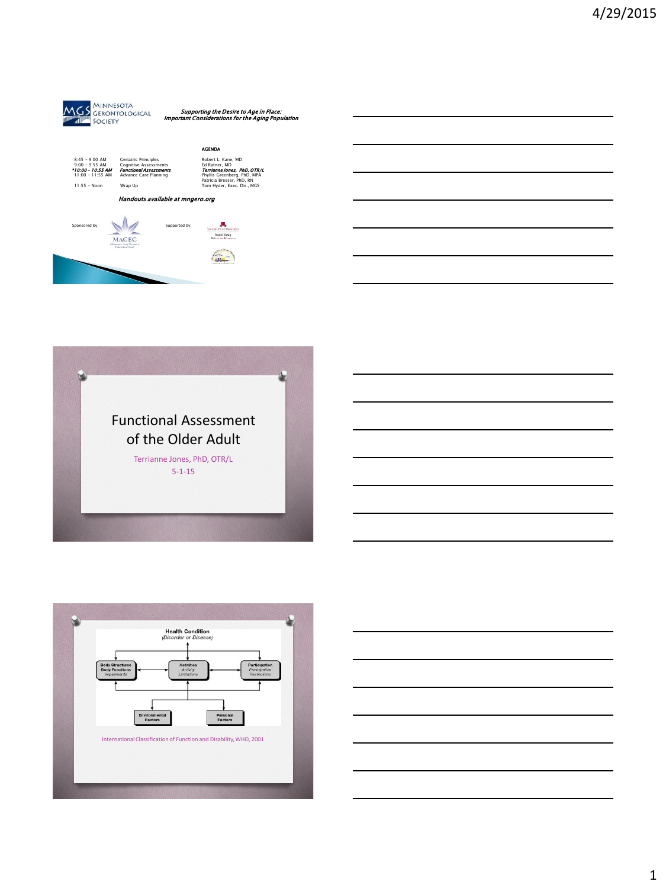

Supporting the Desire to Age in Place: Important Considerations for the Aging Population







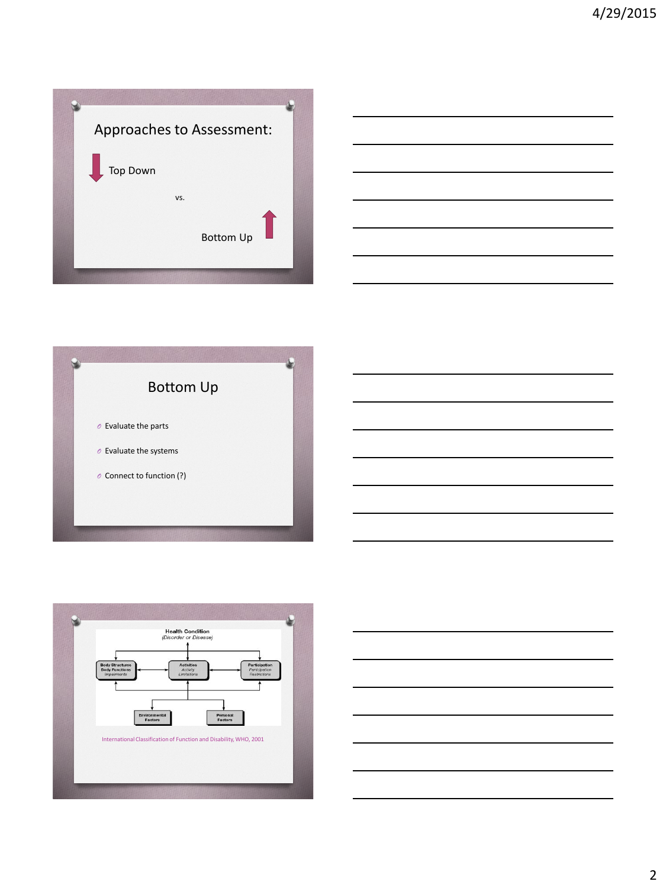





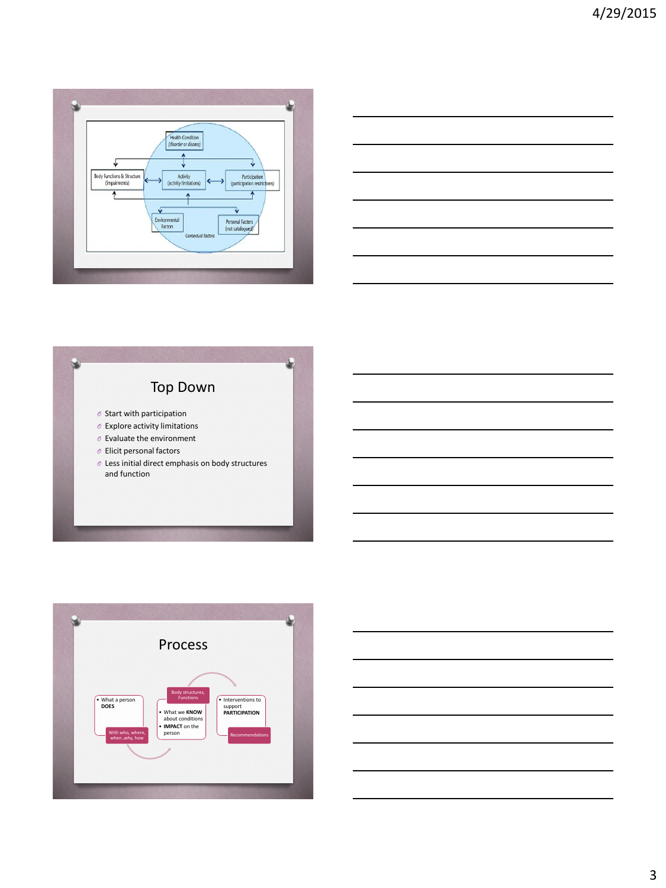



# Top Down *O* Start with participation *O* Explore activity limitations *O* Evaluate the environment *O* Elicit personal factors *O* Less initial direct emphasis on body structures and function

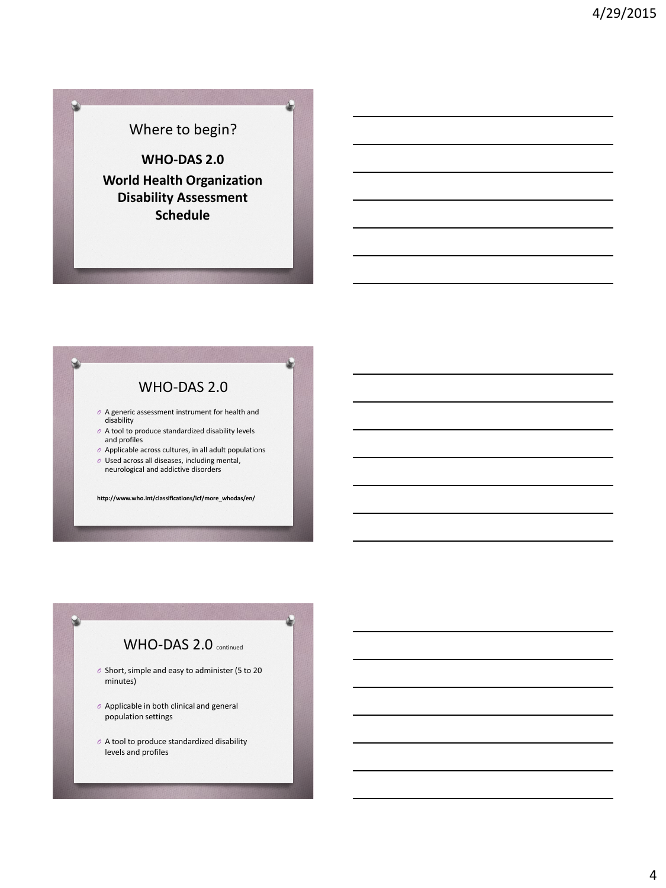## Where to begin?

**WHO-DAS 2.0 World Health Organization Disability Assessment Schedule**

#### WHO-DAS 2.0

- *O* A generic assessment instrument for health and disability
- *O* A tool to produce standardized disability levels and profiles
- *O* Applicable across cultures, in all adult populations
- *O* Used across all diseases, including mental, neurological and addictive disorders

**http://www.who.int/classifications/icf/more\_whodas/en/**

## WHO-DAS 2.0 continued

- *O* Short, simple and easy to administer (5 to 20 minutes)
- *O* Applicable in both clinical and general population settings
- *O* A tool to produce standardized disability levels and profiles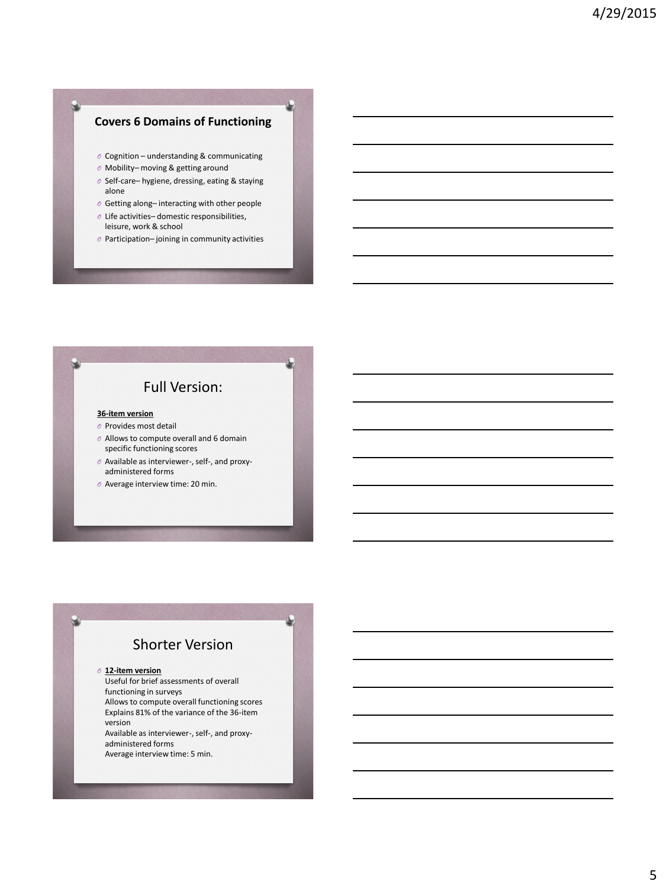#### **Covers 6 Domains of Functioning**

- *O* Cognition understanding & communicating
- *O* Mobility– moving & getting around
- *O* Self-care– hygiene, dressing, eating & staying alone
- *O* Getting along– interacting with other people
- *O* Life activities– domestic responsibilities, leisure, work & school
- *O* Participation– joining in community activities

#### Full Version:

#### **36-item version**

- *O* Provides most detail
- *O* Allows to compute overall and 6 domain specific functioning scores
- *O* Available as interviewer-, self-, and proxyadministered forms
- *O* Average interview time: 20 min.

#### Shorter Version

*O* **12-item version**

Useful for brief assessments of overall functioning in surveys Allows to compute overall functioning scores Explains 81% of the variance of the 36-item version Available as interviewer-, self-, and proxyadministered forms

Average interview time: 5 min.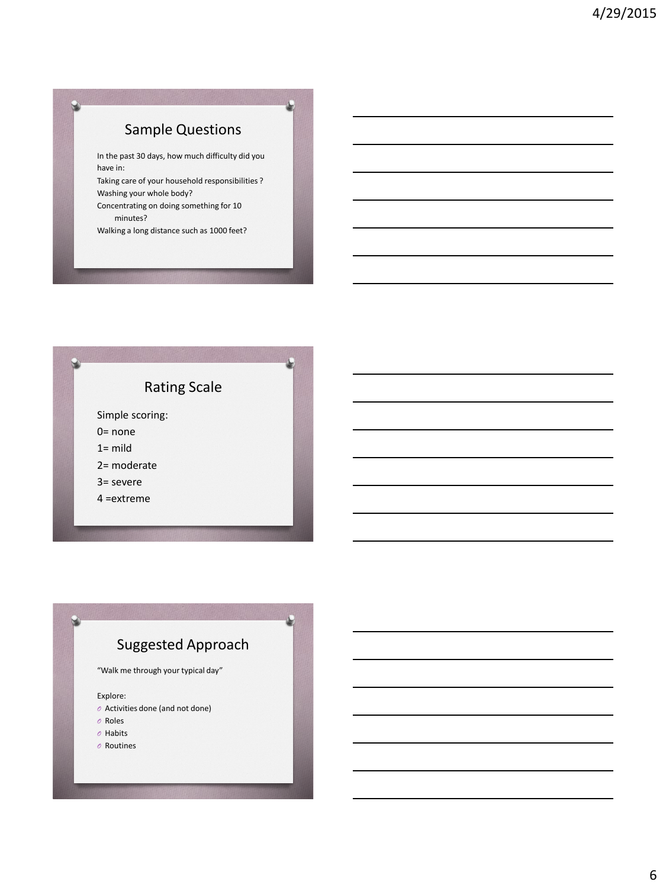# Sample Questions

In the past 30 days, how much difficulty did you have in:

Taking care of your household responsibilities ? Washing your whole body?

Concentrating on doing something for 10 minutes?

Walking a long distance such as 1000 feet?

### Rating Scale

Simple scoring:

0= none

 $1 =$  mild

2= moderate

3= severe

4 =extreme

## Suggested Approach

"Walk me through your typical day"

Explore:

- *O* Activities done (and not done)
- *O* Roles
- *O* Habits
- *O* Routines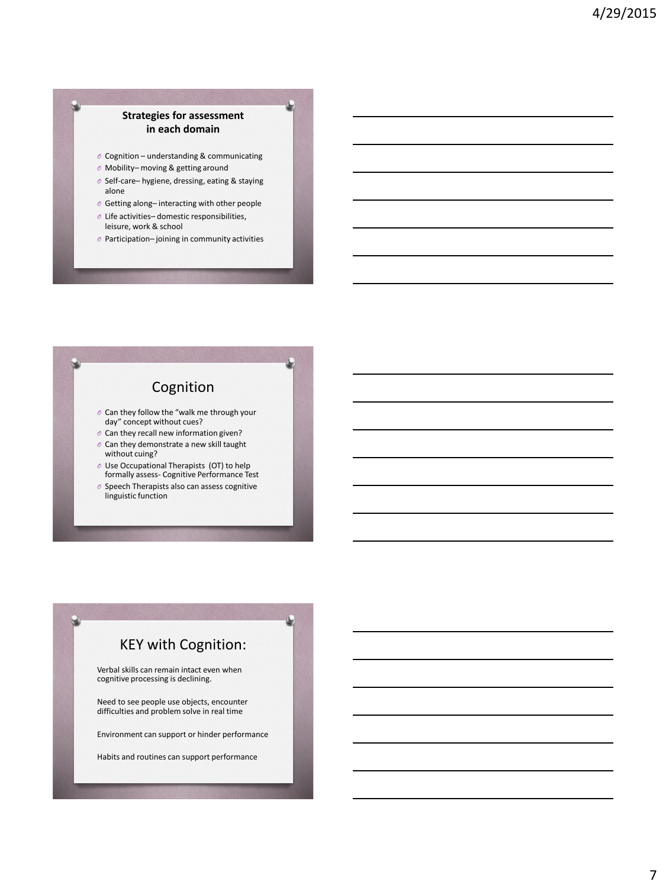#### **Strategies for assessment in each domain**

- *O* Cognition understanding & communicating
- *O* Mobility– moving & getting around
- *O* Self-care– hygiene, dressing, eating & staying alone
- *O* Getting along– interacting with other people
- *O* Life activities– domestic responsibilities, leisure, work & school
- *O* Participation– joining in community activities

## Cognition

- *O* Can they follow the "walk me through your day" concept without cues?
- *O* Can they recall new information given?
- *O* Can they demonstrate a new skill taught without cuing?
- *O* Use Occupational Therapists (OT) to help formally assess- Cognitive Performance Test
- *O* Speech Therapists also can assess cognitive linguistic function

## KEY with Cognition:

Verbal skills can remain intact even when cognitive processing is declining.

Need to see people use objects, encounter difficulties and problem solve in real time

Environment can support or hinder performance

Habits and routines can support performance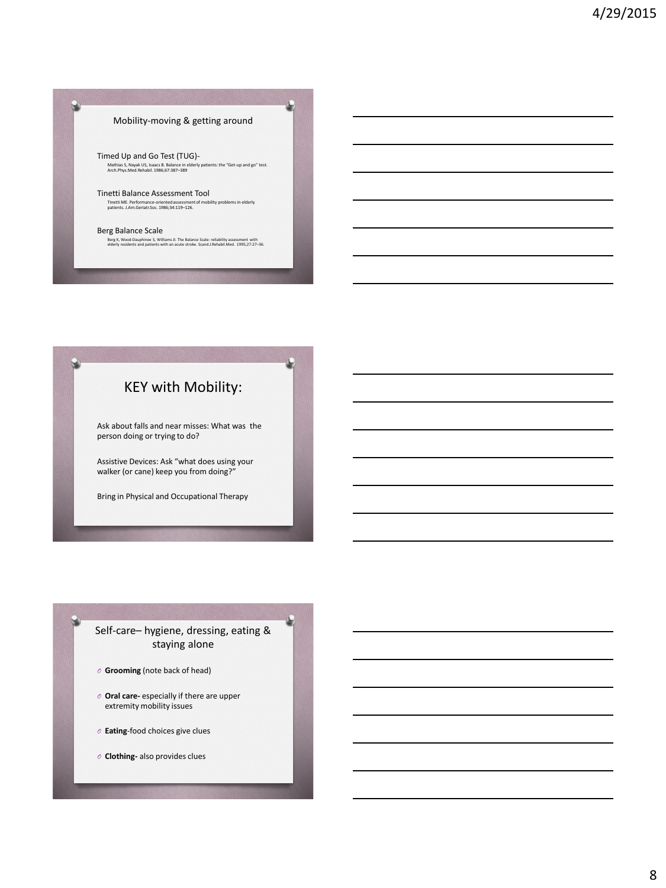#### Mobility-moving & getting around

Timed Up and Go Test (TUG)- Mathias S, Nayak US, Isaacs B. Balance in elderly patients: the "Get-up and go" test. Arch.Phys.Med.Rehabil. 1986;67:387–389

Tinetti Balance Assessment Tool Tinetti ME. Performance-oriented assessment of mobility problems in elderly patients. J.Am.Geriatr.Soc. 1986;34:119–126.

Berg Balance Scale Berg K, Wood-Dauphinee S, Williams JI. The Balance Scale: reliability assessment with elderly residents and patients with an acute stroke. Scand.J.Rehabil.Med. 1995;27:27–36.

## KEY with Mobility:

Ask about falls and near misses: What was the person doing or trying to do?

Assistive Devices: Ask "what does using your walker (or cane) keep you from doing?"

Bring in Physical and Occupational Therapy

#### Self-care– hygiene, dressing, eating & staying alone

- *O* **Grooming** (note back of head)
- *O* **Oral care-** especially if there are upper extremity mobility issues
- *O* **Eating**-food choices give clues
- *O* **Clothing-** also provides clues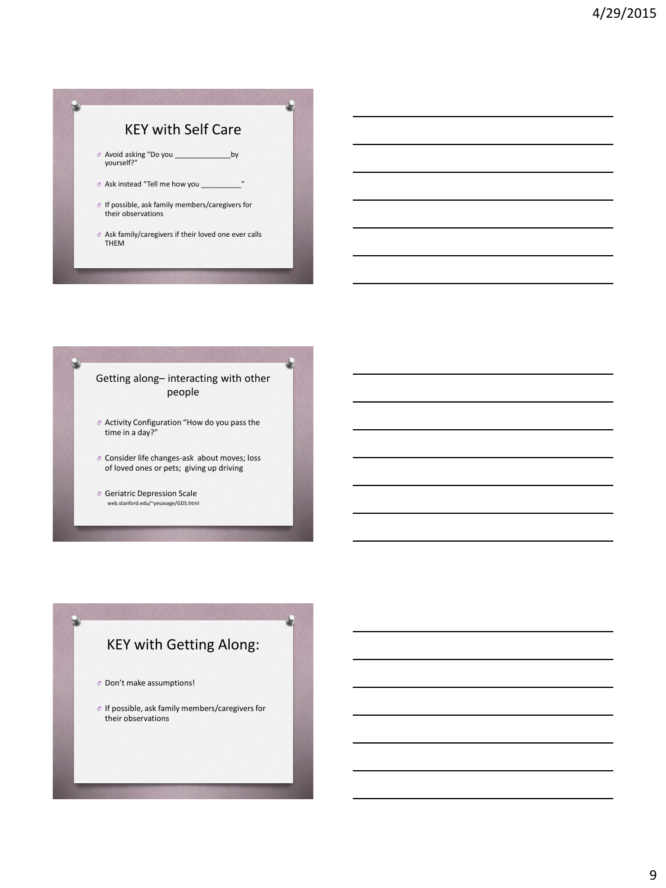#### KEY with Self Care

- *O* Avoid asking "Do you \_\_\_\_\_\_\_\_\_\_\_\_\_\_by yourself?"
- *O* Ask instead "Tell me how you \_\_\_\_\_\_\_\_\_\_"
- *O* If possible, ask family members/caregivers for their observations
- *O* Ask family/caregivers if their loved one ever calls THEM

#### Getting along– interacting with other people

- *O* Activity Configuration "How do you pass the time in a day?"
- *O* Consider life changes-ask about moves; loss of loved ones or pets; giving up driving
- *O* Geriatric Depression Scale web.stanford.edu/~yesavage/GDS.html

## KEY with Getting Along:

- *O* Don't make assumptions!
- *O* If possible, ask family members/caregivers for their observations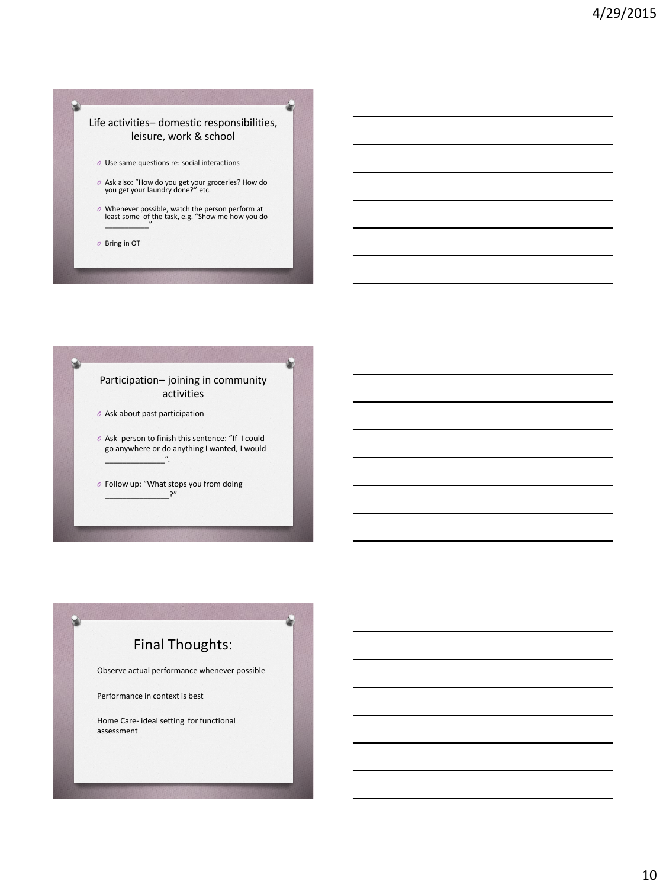#### Life activities– domestic responsibilities, leisure, work & school

- *O* Use same questions re: social interactions
- *O* Ask also: "How do you get your groceries? How do you get your laundry done?" etc.
- *O* Whenever possible, watch the person perform at least some of the task, e.g. "Show me how you do \_\_\_\_\_\_\_\_\_\_\_"
- *O* Bring in OT

#### Participation– joining in community activities

- *O* Ask about past participation
- *O* Ask person to finish this sentence: "If I could go anywhere or do anything I wanted, I would  $\overline{v}$ .
- *O* Follow up: "What stops you from doing  $?''$

# Final Thoughts: Observe actual performance whenever possible Performance in context is best Home Care- ideal setting for functional assessment